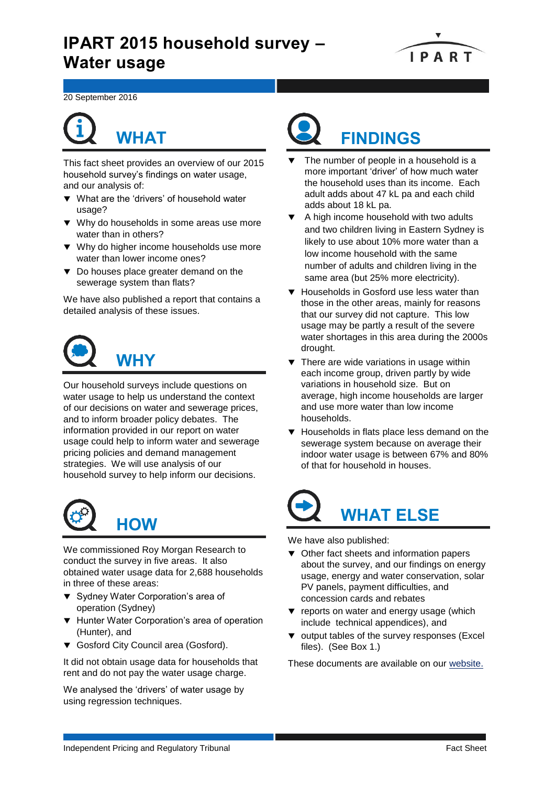# **IPART 2015 household survey – Water usage**



20 September 2016

# **WHAT**

This fact sheet provides an overview of our 2015 household survey's findings on water usage, and our analysis of:

- What are the 'drivers' of household water usage?
- ▼ Why do households in some areas use more water than in others?
- ▼ Why do higher income households use more water than lower income ones?
- $\blacktriangledown$  Do houses place greater demand on the sewerage system than flats?

We have also published a report that contains a detailed analysis of these issues.



Our household surveys include questions on water usage to help us understand the context of our decisions on water and sewerage prices, and to inform broader policy debates. The information provided in our report on water usage could help to inform water and sewerage pricing policies and demand management strategies. We will use analysis of our household survey to help inform our decisions.



We commissioned Roy Morgan Research to conduct the survey in five areas. It also obtained water usage data for 2,688 households in three of these areas:

- ▼ Sydney Water Corporation's area of operation (Sydney)
- ▼ Hunter Water Corporation's area of operation (Hunter), and
- Gosford City Council area (Gosford).

It did not obtain usage data for households that rent and do not pay the water usage charge.

We analysed the 'drivers' of water usage by using regression techniques.



- The number of people in a household is a more important 'driver' of how much water the household uses than its income. Each adult adds about 47 kL pa and each child adds about 18 kL pa.
- ▼ A high income household with two adults and two children living in Eastern Sydney is likely to use about 10% more water than a low income household with the same number of adults and children living in the same area (but 25% more electricity).
- Households in Gosford use less water than those in the other areas, mainly for reasons that our survey did not capture. This low usage may be partly a result of the severe water shortages in this area during the 2000s drought.
- $\blacktriangledown$  There are wide variations in usage within each income group, driven partly by wide variations in household size. But on average, high income households are larger and use more water than low income households.
- ▼ Households in flats place less demand on the sewerage system because on average their indoor water usage is between 67% and 80% of that for household in houses.



We have also published:

- $\blacktriangledown$  Other fact sheets and information papers about the survey, and our findings on energy usage, energy and water conservation, solar PV panels, payment difficulties, and concession cards and rebates
- **v** reports on water and energy usage (which include technical appendices), and
- v output tables of the survey responses (Excel files). (See Box 1.)

These documents are available on our [website.](https://www.ipart.nsw.gov.au/Home/Industries/Special-Reviews/Reviews/Household-Survey/IPART-2015-Household-survey-of-electricity-gas-and-water-usage?qDh=2)